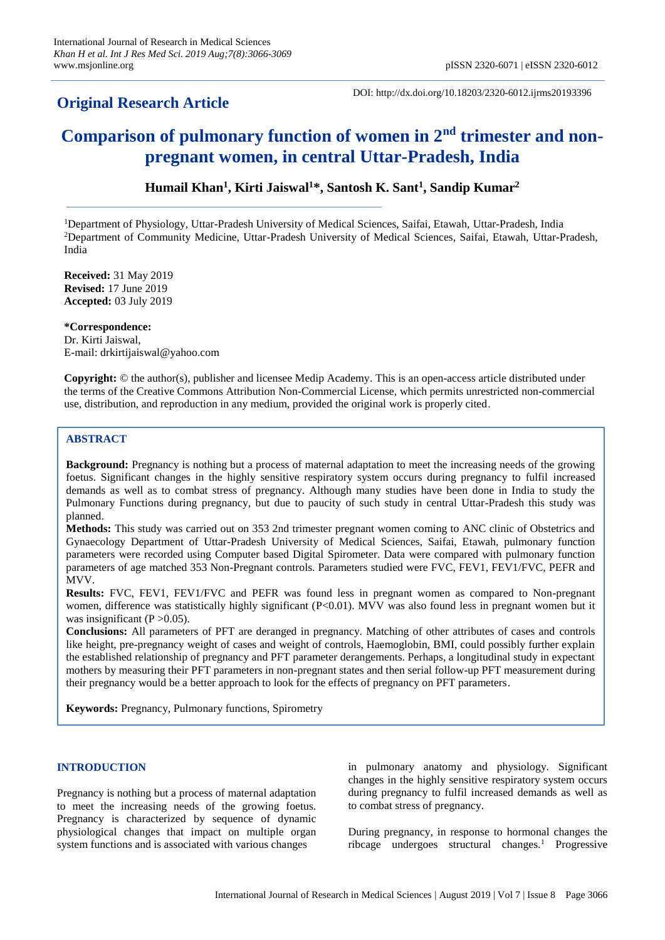## **Original Research Article**

DOI: http://dx.doi.org/10.18203/2320-6012.ijrms20193396

# **Comparison of pulmonary function of women in 2nd trimester and nonpregnant women, in central Uttar-Pradesh, India**

**Humail Khan<sup>1</sup> , Kirti Jaiswal<sup>1</sup>\*, Santosh K. Sant<sup>1</sup> , Sandip Kumar<sup>2</sup>**

<sup>1</sup>Department of Physiology, Uttar-Pradesh University of Medical Sciences, Saifai, Etawah, Uttar-Pradesh, India <sup>2</sup>Department of Community Medicine, Uttar-Pradesh University of Medical Sciences, Saifai, Etawah, Uttar-Pradesh, India

**Received:** 31 May 2019 **Revised:** 17 June 2019 **Accepted:** 03 July 2019

**\*Correspondence:** Dr. Kirti Jaiswal, E-mail: drkirtijaiswal@yahoo.com

**Copyright:** © the author(s), publisher and licensee Medip Academy. This is an open-access article distributed under the terms of the Creative Commons Attribution Non-Commercial License, which permits unrestricted non-commercial use, distribution, and reproduction in any medium, provided the original work is properly cited.

## **ABSTRACT**

**Background:** Pregnancy is nothing but a process of maternal adaptation to meet the increasing needs of the growing foetus. Significant changes in the highly sensitive respiratory system occurs during pregnancy to fulfil increased demands as well as to combat stress of pregnancy. Although many studies have been done in India to study the Pulmonary Functions during pregnancy, but due to paucity of such study in central Uttar-Pradesh this study was planned.

**Methods:** This study was carried out on 353 2nd trimester pregnant women coming to ANC clinic of Obstetrics and Gynaecology Department of Uttar-Pradesh University of Medical Sciences, Saifai, Etawah, pulmonary function parameters were recorded using Computer based Digital Spirometer. Data were compared with pulmonary function parameters of age matched 353 Non-Pregnant controls. Parameters studied were FVC, FEV1, FEV1/FVC, PEFR and MVV.

**Results:** FVC, FEV1, FEV1/FVC and PEFR was found less in pregnant women as compared to Non-pregnant women, difference was statistically highly significant (P<0.01). MVV was also found less in pregnant women but it was insignificant ( $P > 0.05$ ).

**Conclusions:** All parameters of PFT are deranged in pregnancy. Matching of other attributes of cases and controls like height, pre-pregnancy weight of cases and weight of controls, Haemoglobin, BMI, could possibly further explain the established relationship of pregnancy and PFT parameter derangements. Perhaps, a longitudinal study in expectant mothers by measuring their PFT parameters in non-pregnant states and then serial follow-up PFT measurement during their pregnancy would be a better approach to look for the effects of pregnancy on PFT parameters.

**Keywords:** Pregnancy, Pulmonary functions, Spirometry

## **INTRODUCTION**

Pregnancy is nothing but a process of maternal adaptation to meet the increasing needs of the growing foetus. Pregnancy is characterized by sequence of dynamic physiological changes that impact on multiple organ system functions and is associated with various changes

in pulmonary anatomy and physiology. Significant changes in the highly sensitive respiratory system occurs during pregnancy to fulfil increased demands as well as to combat stress of pregnancy.

During pregnancy, in response to hormonal changes the ribcage undergoes structural changes.<sup>1</sup> Progressive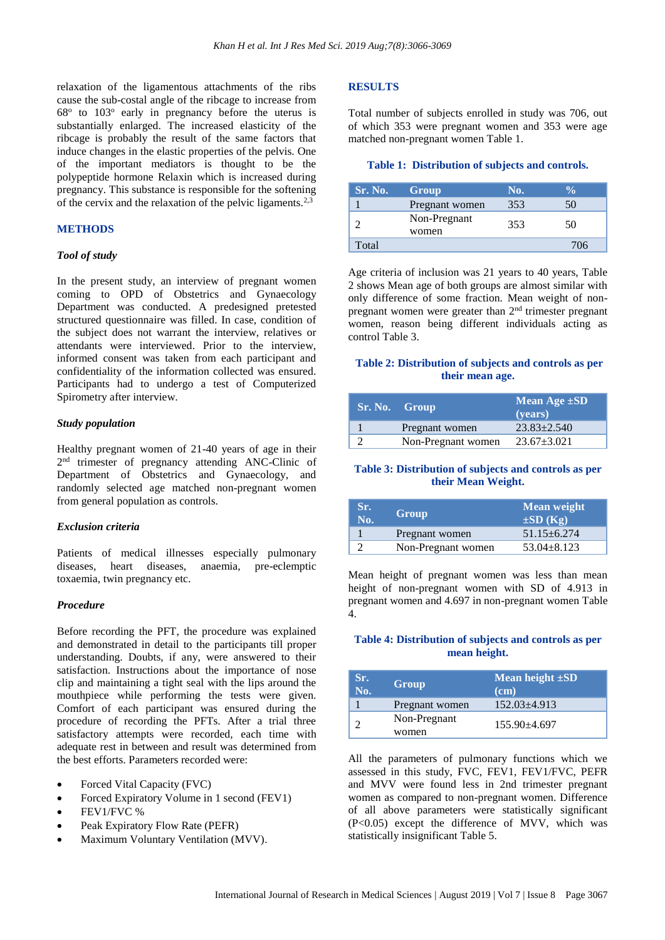relaxation of the ligamentous attachments of the ribs cause the sub-costal angle of the ribcage to increase from 68<sup>°</sup> to 103<sup>°</sup> early in pregnancy before the uterus is substantially enlarged. The increased elasticity of the ribcage is probably the result of the same factors that induce changes in the elastic properties of the pelvis. One of the important mediators is thought to be the polypeptide hormone Relaxin which is increased during pregnancy. This substance is responsible for the softening of the cervix and the relaxation of the pelvic ligaments.<sup>2,3</sup>

## **METHODS**

#### *Tool of study*

In the present study, an interview of pregnant women coming to OPD of Obstetrics and Gynaecology Department was conducted. A predesigned pretested structured questionnaire was filled. In case, condition of the subject does not warrant the interview, relatives or attendants were interviewed. Prior to the interview, informed consent was taken from each participant and confidentiality of the information collected was ensured. Participants had to undergo a test of Computerized Spirometry after interview.

## *Study population*

Healthy pregnant women of 21-40 years of age in their 2<sup>nd</sup> trimester of pregnancy attending ANC-Clinic of Department of Obstetrics and Gynaecology, and randomly selected age matched non-pregnant women from general population as controls.

#### *Exclusion criteria*

Patients of medical illnesses especially pulmonary diseases, heart diseases, anaemia, pre-eclemptic toxaemia, twin pregnancy etc.

## *Procedure*

Before recording the PFT, the procedure was explained and demonstrated in detail to the participants till proper understanding. Doubts, if any, were answered to their satisfaction. Instructions about the importance of nose clip and maintaining a tight seal with the lips around the mouthpiece while performing the tests were given. Comfort of each participant was ensured during the procedure of recording the PFTs. After a trial three satisfactory attempts were recorded, each time with adequate rest in between and result was determined from the best efforts. Parameters recorded were:

- Forced Vital Capacity (FVC)
- Forced Expiratory Volume in 1 second (FEV1)
- FEV1/FVC %
- Peak Expiratory Flow Rate (PEFR)
- Maximum Voluntary Ventilation (MVV).

#### **RESULTS**

Total number of subjects enrolled in study was 706, out of which 353 were pregnant women and 353 were age matched non-pregnant women Table 1.

#### **Table 1: Distribution of subjects and controls.**

| Sr. No. | Group                 | No. |     |
|---------|-----------------------|-----|-----|
|         | Pregnant women        | 353 | 50  |
|         | Non-Pregnant<br>women | 353 | 50  |
| Total   |                       |     | 706 |

Age criteria of inclusion was 21 years to 40 years, Table 2 shows Mean age of both groups are almost similar with only difference of some fraction. Mean weight of nonpregnant women were greater than 2nd trimester pregnant women, reason being different individuals acting as control Table 3.

## **Table 2: Distribution of subjects and controls as per their mean age.**

| Sr. No. Group      | Mean Age $\pm SD$<br>(vears) |
|--------------------|------------------------------|
| Pregnant women     | $23.83 + 2.540$              |
| Non-Pregnant women | $23.67 \pm 3.021$            |

#### **Table 3: Distribution of subjects and controls as per their Mean Weight.**

| Sr.<br>No. | Group              | <b>Mean weight</b><br>$\pm SD(Kg)$ |
|------------|--------------------|------------------------------------|
|            | Pregnant women     | $51.15 + 6.274$                    |
|            | Non-Pregnant women | $53.04 \pm 8.123$                  |

Mean height of pregnant women was less than mean height of non-pregnant women with SD of 4.913 in pregnant women and 4.697 in non-pregnant women Table 4.

## **Table 4: Distribution of subjects and controls as per mean height.**

| Sr.<br>No. | Group                 | Mean height ±SD<br>$(cm)$ |
|------------|-----------------------|---------------------------|
|            | Pregnant women        | $152.03\pm4.913$          |
|            | Non-Pregnant<br>women | $155.90 + 4.697$          |

All the parameters of pulmonary functions which we assessed in this study, FVC, FEV1, FEV1/FVC, PEFR and MVV were found less in 2nd trimester pregnant women as compared to non-pregnant women. Difference of all above parameters were statistically significant (P<0.05) except the difference of MVV, which was statistically insignificant Table 5.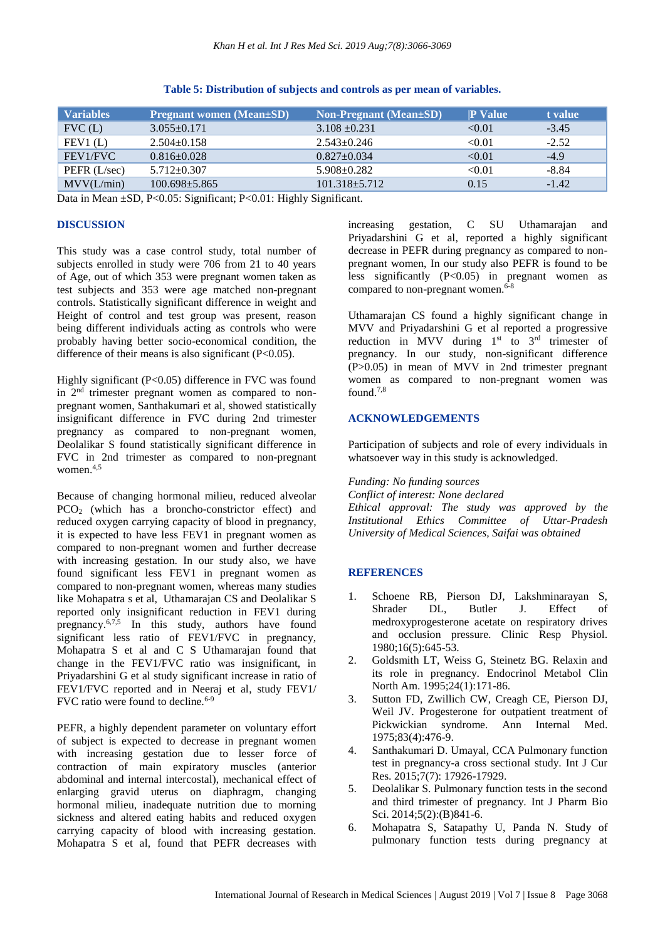| <b>Variables</b> | <b>Pregnant women (Mean</b> +SD) | <b>Non-Pregnant</b> (Mean+SD) | <b>P</b> Value | t value |
|------------------|----------------------------------|-------------------------------|----------------|---------|
| FVC(L)           | $3.055+0.171$                    | $3.108 \pm 0.231$             | < 0.01         | $-3.45$ |
| FEV1(L)          | $2.504 \pm 0.158$                | $2.543 \pm 0.246$             | < 0.01         | $-2.52$ |
| FEV1/FVC         | $0.816 \pm 0.028$                | $0.827 \pm 0.034$             | < 0.01         | $-4.9$  |
| PEFR $(L/sec)$   | $5.712 \pm 0.307$                | $5.908 \pm 0.282$             | < 0.01         | $-8.84$ |
| MV(L/min)        | $100.698 + 5.865$                | $101.318 + 5.712$             | 0.15           | $-1.42$ |

**Table 5: Distribution of subjects and controls as per mean of variables.**

Data in Mean ±SD, P<0.05: Significant; P<0.01: Highly Significant.

## **DISCUSSION**

This study was a case control study, total number of subjects enrolled in study were 706 from 21 to 40 years of Age, out of which 353 were pregnant women taken as test subjects and 353 were age matched non-pregnant controls. Statistically significant difference in weight and Height of control and test group was present, reason being different individuals acting as controls who were probably having better socio-economical condition, the difference of their means is also significant  $(P<0.05)$ .

Highly significant (P<0.05) difference in FVC was found in  $2<sup>nd</sup>$  trimester pregnant women as compared to nonpregnant women, Santhakumari et al, showed statistically insignificant difference in FVC during 2nd trimester pregnancy as compared to non-pregnant women, Deolalikar S found statistically significant difference in FVC in 2nd trimester as compared to non-pregnant women.<sup>4,5</sup>

Because of changing hormonal milieu, reduced alveolar PCO<sub>2</sub> (which has a broncho-constrictor effect) and reduced oxygen carrying capacity of blood in pregnancy, it is expected to have less FEV1 in pregnant women as compared to non-pregnant women and further decrease with increasing gestation. In our study also, we have found significant less FEV1 in pregnant women as compared to non-pregnant women, whereas many studies like Mohapatra s et al, Uthamarajan CS and Deolalikar S reported only insignificant reduction in FEV1 during pregnancy.<sup>6,7,5</sup> In this study, authors have found significant less ratio of FEV1/FVC in pregnancy, Mohapatra S et al and C S Uthamarajan found that change in the FEV1/FVC ratio was insignificant, in Priyadarshini G et al study significant increase in ratio of FEV1/FVC reported and in Neeraj et al, study FEV1/ FVC ratio were found to decline.<sup>6-9</sup>

PEFR, a highly dependent parameter on voluntary effort of subject is expected to decrease in pregnant women with increasing gestation due to lesser force of contraction of main expiratory muscles (anterior abdominal and internal intercostal), mechanical effect of enlarging gravid uterus on diaphragm, changing hormonal milieu, inadequate nutrition due to morning sickness and altered eating habits and reduced oxygen carrying capacity of blood with increasing gestation. Mohapatra S et al, found that PEFR decreases with increasing gestation, C SU Uthamarajan and Priyadarshini G et al, reported a highly significant decrease in PEFR during pregnancy as compared to nonpregnant women, In our study also PEFR is found to be less significantly (P<0.05) in pregnant women as compared to non-pregnant women. $6-8$ 

Uthamarajan CS found a highly significant change in MVV and Priyadarshini G et al reported a progressive reduction in MVV during  $1<sup>st</sup>$  to  $3<sup>rd</sup>$  trimester of pregnancy. In our study, non-significant difference  $(P>0.05)$  in mean of MVV in 2nd trimester pregnant women as compared to non-pregnant women was found.7,8

#### **ACKNOWLEDGEMENTS**

Participation of subjects and role of every individuals in whatsoever way in this study is acknowledged.

*Funding: No funding sources*

*Conflict of interest: None declared Ethical approval: The study was approved by the Institutional Ethics Committee of Uttar-Pradesh University of Medical Sciences, Saifai was obtained* 

## **REFERENCES**

- 1. Schoene RB, Pierson DJ, Lakshminarayan S,<br>Shrader DL, Butler J. Effect of Shrader DL, Butler J. Effect of medroxyprogesterone acetate on respiratory drives and occlusion pressure. Clinic Resp Physiol. 1980;16(5):645-53.
- 2. Goldsmith LT, Weiss G, Steinetz BG. Relaxin and its role in pregnancy. Endocrinol Metabol Clin North Am. 1995;24(1):171-86.
- 3. Sutton FD, Zwillich CW, Creagh CE, Pierson DJ, Weil JV. Progesterone for outpatient treatment of Pickwickian syndrome. Ann Internal Med. 1975;83(4):476-9.
- 4. Santhakumari D. Umayal, CCA Pulmonary function test in pregnancy-a cross sectional study. Int J Cur Res. 2015;7(7): 17926-17929.
- 5. Deolalikar S. Pulmonary function tests in the second and third trimester of pregnancy. Int J Pharm Bio Sci. 2014:5(2):(B)841-6.
- 6. Mohapatra S, Satapathy U, Panda N. Study of pulmonary function tests during pregnancy at